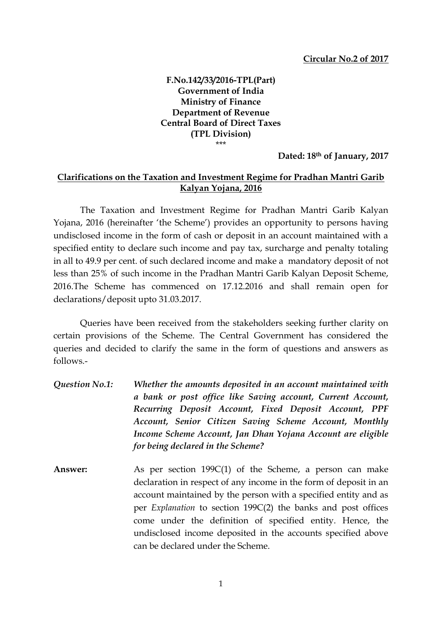**F.No.142/33/2016-TPL(Part) Government of India Ministry of Finance Department of Revenue Central Board of Direct Taxes (TPL Division)** \*\*\*

**Dated: 18th of January, 2017**

## **Clarifications on the Taxation and Investment Regime for Pradhan Mantri Garib Kalyan Yojana, 2016**

The Taxation and Investment Regime for Pradhan Mantri Garib Kalyan Yojana, 2016 (hereinafter 'the Scheme') provides an opportunity to persons having undisclosed income in the form of cash or deposit in an account maintained with a specified entity to declare such income and pay tax, surcharge and penalty totaling in all to 49.9 per cent. of such declared income and make a mandatory deposit of not less than 25% of such income in the Pradhan Mantri Garib Kalyan Deposit Scheme, 2016.The Scheme has commenced on 17.12.2016 and shall remain open for declarations/deposit upto 31.03.2017.

Queries have been received from the stakeholders seeking further clarity on certain provisions of the Scheme. The Central Government has considered the queries and decided to clarify the same in the form of questions and answers as follows.-

- *Question No.1: Whether the amounts deposited in an account maintained with a bank or post office like Saving account, Current Account, Recurring Deposit Account, Fixed Deposit Account, PPF Account, Senior Citizen Saving Scheme Account, Monthly Income Scheme Account, Jan Dhan Yojana Account are eligible for being declared in the Scheme?*
- **Answer:** As per section 199C(1) of the Scheme, a person can make declaration in respect of any income in the form of deposit in an account maintained by the person with a specified entity and as per *Explanation* to section 199C(2) the banks and post offices come under the definition of specified entity. Hence, the undisclosed income deposited in the accounts specified above can be declared under the Scheme.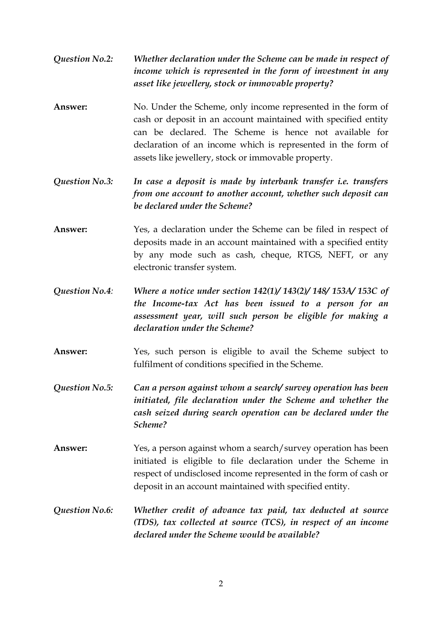- *Question No.2: Whether declaration under the Scheme can be made in respect of income which is represented in the form of investment in any asset like jewellery, stock or immovable property?*
- **Answer:** No. Under the Scheme, only income represented in the form of cash or deposit in an account maintained with specified entity can be declared. The Scheme is hence not available for declaration of an income which is represented in the form of assets like jewellery, stock or immovable property.
- *Question No.3: In case a deposit is made by interbank transfer i.e. transfers from one account to another account, whether such deposit can be declared under the Scheme?*
- **Answer:** Yes, a declaration under the Scheme can be filed in respect of deposits made in an account maintained with a specified entity by any mode such as cash, cheque, RTGS, NEFT, or any electronic transfer system.
- *Question No.4: Where a notice under section 142(1)/ 143(2)/ 148/ 153A/ 153C of the Income-tax Act has been issued to a person for an assessment year, will such person be eligible for making a declaration under the Scheme?*
- **Answer:** Yes, such person is eligible to avail the Scheme subject to fulfilment of conditions specified in the Scheme.
- *Question No.5: Can a person against whom a search/ survey operation has been initiated, file declaration under the Scheme and whether the cash seized during search operation can be declared under the Scheme?*
- **Answer:** Yes, a person against whom a search/survey operation has been initiated is eligible to file declaration under the Scheme in respect of undisclosed income represented in the form of cash or deposit in an account maintained with specified entity.
- *Question No.6: Whether credit of advance tax paid, tax deducted at source (TDS), tax collected at source (TCS), in respect of an income declared under the Scheme would be available?*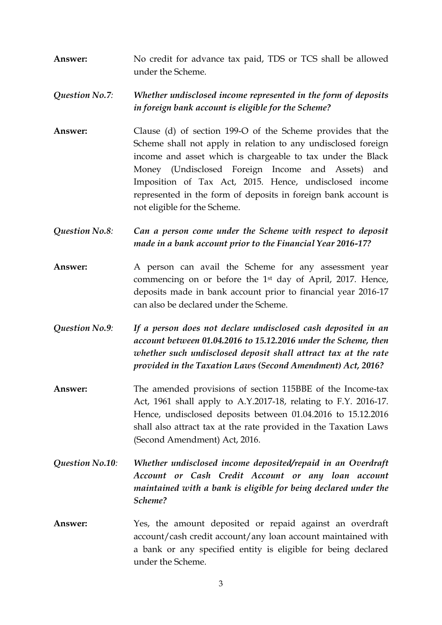**Answer:** No credit for advance tax paid, TDS or TCS shall be allowed under the Scheme.

*Question No.7: Whether undisclosed income represented in the form of deposits in foreign bank account is eligible for the Scheme?*

- **Answer:**Clause (d) of section 199-O of the Scheme provides that the Scheme shall not apply in relation to any undisclosed foreign income and asset which is chargeable to tax under the Black Money (Undisclosed Foreign Income and Assets) and Imposition of Tax Act, 2015. Hence, undisclosed income represented in the form of deposits in foreign bank account is not eligible for the Scheme.
- *Question No.8: Can a person come under the Scheme with respect to deposit made in a bank account prior to the Financial Year 2016-17?*
- Answer: A person can avail the Scheme for any assessment year commencing on or before the 1st day of April, 2017. Hence, deposits made in bank account prior to financial year 2016-17 can also be declared under the Scheme.
- *Question No.9: If a person does not declare undisclosed cash deposited in an account between 01.04.2016 to 15.12.2016 under the Scheme, then whether such undisclosed deposit shall attract tax at the rate provided in the Taxation Laws (Second Amendment) Act, 2016?*
- **Answer:** The amended provisions of section 115BBE of the Income-tax Act, 1961 shall apply to A.Y.2017-18, relating to F.Y. 2016-17. Hence, undisclosed deposits between 01.04.2016 to 15.12.2016 shall also attract tax at the rate provided in the Taxation Laws (Second Amendment) Act, 2016.
- *Question No.10: Whether undisclosed income deposited/repaid in an Overdraft Account or Cash Credit Account or any loan account maintained with a bank is eligible for being declared under the Scheme?*
- **Answer:** Yes, the amount deposited or repaid against an overdraft account/cash credit account/any loan account maintained with a bank or any specified entity is eligible for being declared under the Scheme.